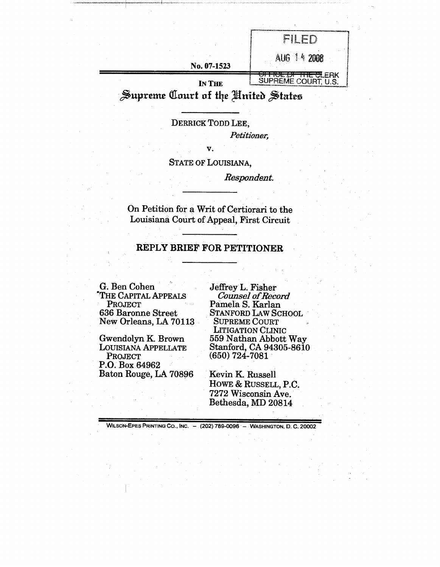|  |             | Se no                     |
|--|-------------|---------------------------|
|  |             |                           |
|  |             |                           |
|  | No. 07-1523 |                           |
|  | IN THE      | .ERK<br>ir.<br>OURT, U.S. |

## Supreme Court of the Hnited States

DERRICK TODD LEE,

*Petitioner,*

*V.* STATE OF LOUISIANA,

*Respondent.*

On Petition for a Writ of Certiorari to the Louisiana Court of Appeal, First Circuit

## **REPLY BRIEF FOR PETITIONER**

G. Ben Cohen "THE CAPITAL APPEALS PROJECT 636 Baronne Street New Orleans, LA 70113

Gwendolyn K. Brown LOUISIANA APPELLATE PROJECT P.O. Box 64962 Baton Rouge, LA 70896 Jeffrey L. Fisher *Counsel of Record* Pamela S. Karlan STANFORD LAW SCHOOL SUPREME COURT LITIGATION CLINIC 559 Nathan Abbott Way Stanford, CA 94305-8610 (650) 724-7081

Kevin K. Russell HOWE & RUSSELL, P.C. 7272 Wisconsin Ave. Bethesda, MD 20814

WILSON-EPES PRINTING CO., INC. - (202) 789-0096 - WASHINGTON, D. C. 20002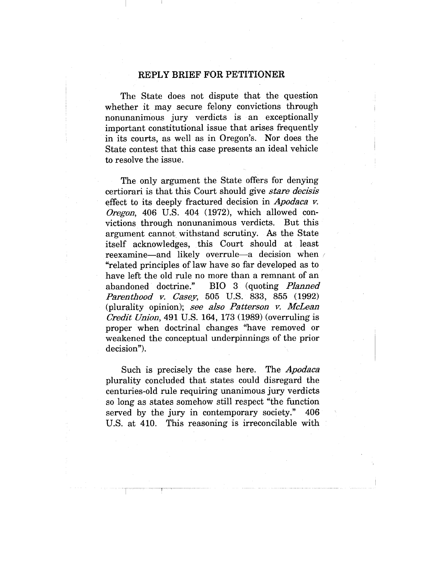## **REPLY BRIEF FOR PETITIONER**

The State does not dispute that the question whether it may secure felony convictions through nonunanimous jury verdicts is an exceptionally important constitutional issue that arises frequently in its courts, as well as in Oregon's. Nor does the State contest that this case presents an ideal vehicle to resolve the issue.

The only argument the State offers for denying certiorari is that this Court should give *stare decisis* effect to its deeply fractured decision in *Apodaca v. Oregon,* 406 U.S. 404 (1972), which allowed convictions through nonunanimous verdicts. But this argument cannot withstand scrutiny. As the State itself acknowledges, this Court should at least reexamine—and likely overrule—a decision when "related principles of law have so far developed as to have left the old rule no more than a remnant of an abandoned doctrine." BIO 3 (quoting *Planned Parentl~ood v. Casey,* 505 U.S. 833, 855 (1992) (plurality opinion); *see also Patterson v. McLean Credit Union,* 491 U.S. 164, 173 (1989) (overruling is proper when doctrinal changes "nave removed or weakened the conceptual underpinnings of the prior decision").

Such is precisely the case here. *The Apodaca* plurality concluded that states could disregard the centuries-old rule requiring unanimous jury verdicts so long as states somehow still respect "the function served by the jury in contemporary society." 406 U.S. at 410. This reasoning is irreconcilable with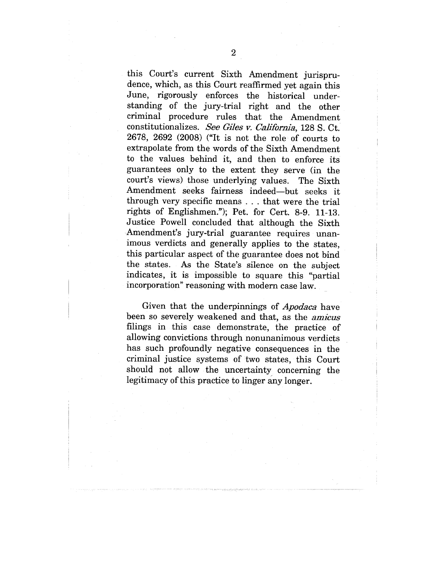this Court's current Sixth Amendment jurisprudence, which, as this Court reaffirmed yet again this June, rigorously enforces the historical understanding of the jury-trial right and the other criminal procedure rules that the Amendment constitutionalizes. *See Giles v. California,* 128 S. Ct. 2678, 2692 (2008) ("It is not the role of courts to extrapolate from the words of the Sixth Amendment to the values behind it, and then to enforce its guarantees only to the extent they serve (in the court's views) those underlying values. The Sixth Amendment seeks fairness indeed--but seeks it through very specific means . . . that were the trial rights of Englishmen."); Pet. for Cert. 8-9. 11-13. Justice Powell concluded that although the Sixth Amendment's jury-trial guarantee requires unanimous verdicts and generally applies to the states, this particular aspect of the guarantee does not bind the states. As the State's silence on the subject indicates, it is impossible to square this "partial incorporation" reasoning with modern case law.

Given that the underpinnings of *Apodaca* have been so severely weakened and that, as the *amicus* filings in this case demonstrate, the practice of allowing convictions through nonunanimous verdicts has such profoundly negative consequences in the criminal justice systems of two states, this Court should not allow the uncertainty concerning the legitimacy of this practice to linger any longer.